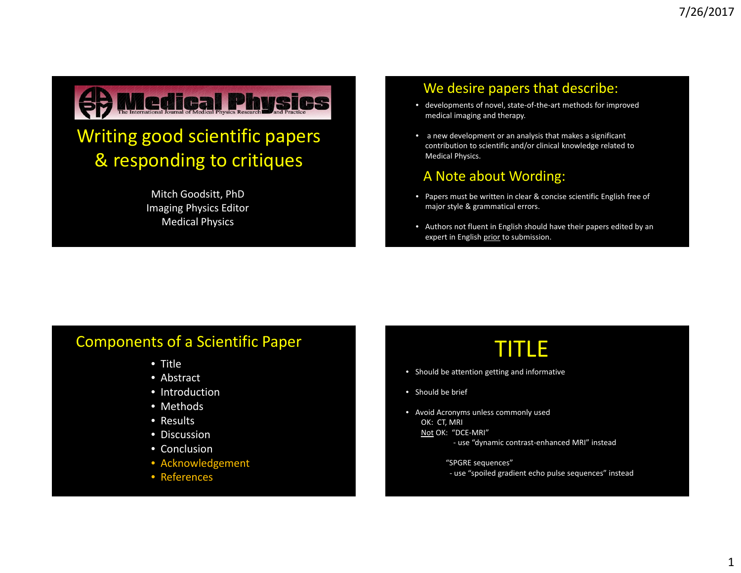

### Writing good scientific papers & responding to critiques

Mitch Goodsitt, PhD Imaging Physics Editor Medical Physics

#### We desire papers that describe:

- developments of novel, state‐of‐the‐art methods for improved medical imaging and therapy.
- a new development or an analysis that makes <sup>a</sup> significant contribution to scientific and/or clinical knowledge related to Medical Physics.

#### A Note about Wording:

- Papers must be written in clear & concise scientific English free of major style & grammatical errors.
- Authors not fluent in English should have their papers edited by an expert in English prior to submission.

#### Components of <sup>a</sup> Scientific Paper

- Title
- Abstract
- Introduction
- Methods
- Results
- Discussion
- Conclusion
- Acknowledgement
- References

# TITLE

- Should be attention getting and informative
- Should be brief
- Avoid Acronyms unless commonly used OK: CT, MRI Not OK: "DCE‐MRI"
	- ‐ use "dynamic contrast‐enhanced MRI" instead
	- "SPGRE sequences"
	- ‐ use "spoiled gradient echo pulse sequences" instead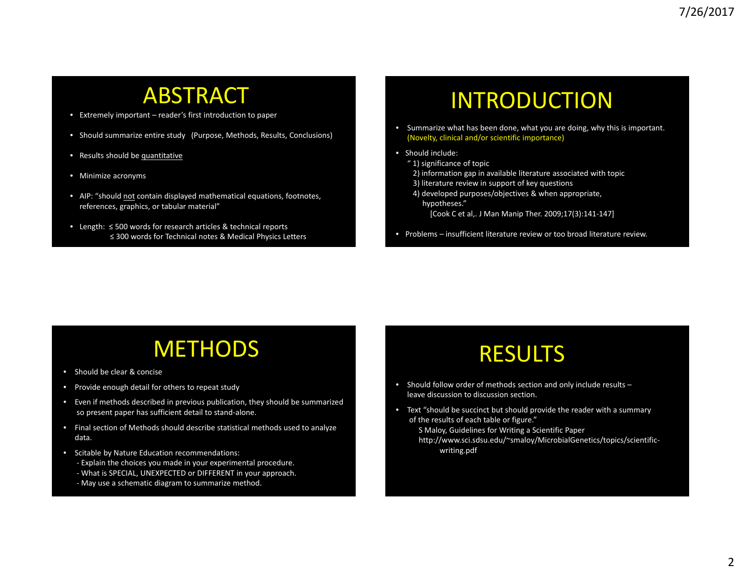### ABSTRACT

- Extremely important reader's first introduction to paper
- Should summarize entire study (Purpose, Methods, Results, Conclusions)
- Results should be quantitative
- Minimize acronyms
- AIP: "should not contain displayed mathematical equations, footnotes, references, graphics, or tabular material"
- Length: ≤ 500 words for research articles & technical reports ≤ 300 words for Technical notes & Medical Physics Letters

## INTRODUCTION

- Summarize what has been done, what you are doing, why this is important. (Novelty, clinical and/or scientific importance)
- Should include:
	- " 1) significance of topic
	- 2) information gap in available literature associated with topic
	- 3) literature review in support of key questions
	- 4) developed purposes/objectives & when appropriate, hypotheses."
		- [Cook C et al,. J Man Manip Ther. 2009;17(3):141‐147]
- Problems insufficient literature review or too broad literature review.

### **METHODS**

- Should be clear & concise
- Provide enough detail for others to repeat study
- Even if methods described in previous publication, they should be summarized so present paper has sufficient detail to stand‐alone.
- Final section of Methods should describe statistical methods used to analyze data.
- Scitable by Nature Education recommendations:
	- ‐ Explain the choices you made in your experimental procedure. ‐ What is SPECIAL, UNEXPECTED or DIFFERENT in your approach.
	- ‐ May use <sup>a</sup> schematic diagram to summarize method.

# RESULTS

- Should follow order of methods section and only include results leave discussion to discussion section.
- Text "should be succinct but should provide the reader with <sup>a</sup> summary of the results of each table or figure."
	- S Maloy, Guidelines for Writing <sup>a</sup> Scientific Paper http://www.sci.sdsu.edu/~smaloy/MicrobialGenetics/topics/scientific‐ writing.pdf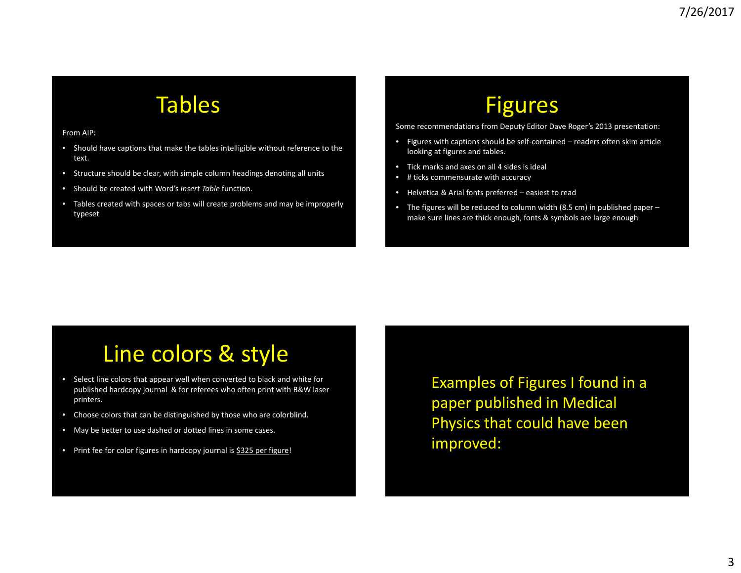## Tables

From AIP:

- Should have captions that make the tables intelligible without reference to the text.
- Structure should be clear, with simple column headings denoting all units
- Should be created with Word's *Insert Table* function.
- Tables created with spaces or tabs will create problems and may be improperly typeset

# Figures

Some recommendations from Deputy Editor Dave Roger's 2013 presentation:

- Figures with captions should be self‐contained readers often skim article looking at figures and tables.
- Tick marks and axes on all 4 sides is ideal
- # ticks commensurate with accuracy
- Helvetica & Arial fonts preferred easiest to read
- The figures will be reduced to column width (8.5 cm) in published paper make sure lines are thick enough, fonts & symbols are large enough

# Line colors & style

- Select line colors that appear well when converted to black and white for published hardcopy journal & for referees who often print with B&W laser printers.
- Choose colors that can be distinguished by those who are colorblind.
- May be better to use dashed or dotted lines in some cases.
- Print fee for color figures in hardcopy journal is \$325 per figure!

Examples of Figures I found in <sup>a</sup> paper published in Medical Physics that could have been improved: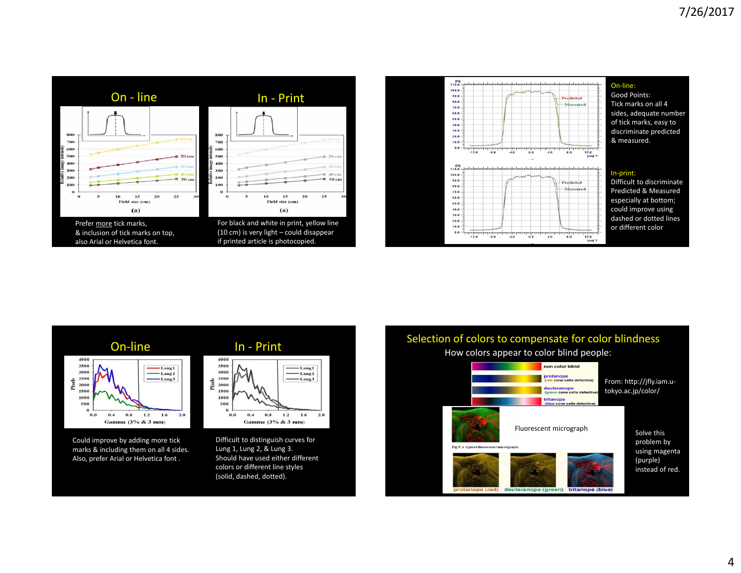





marks & including them on all 4 sides. Also, prefer Arial or Helvetica font .



Lung 1, Lung 2, & Lung 3. Should have used either different colors or different line styles (solid, dashed, dotted).



deuteranope (green) tritanope (blue) pe (red)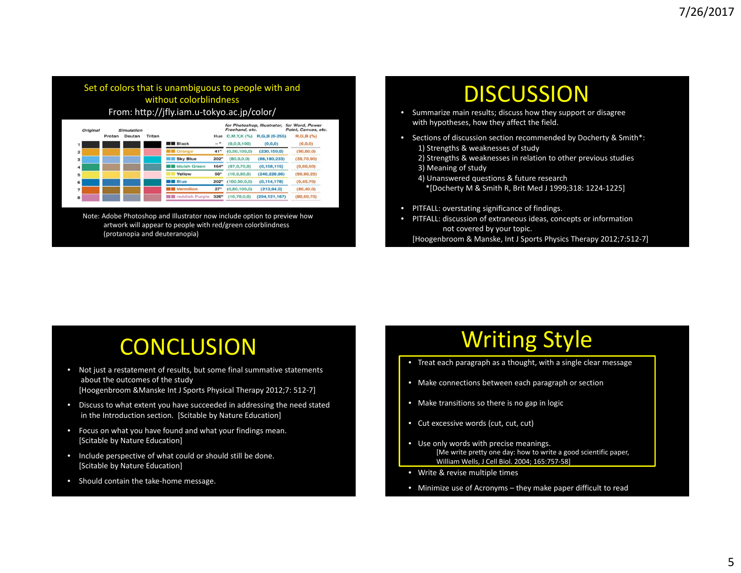#### Set of colors that is unambiguous to people with and without colorblindness From: http://jfly.iam.u‐tokyo.ac.jp/color/

| Original                | <b>Simulation</b> |        |        |                         |                  | for Photoshop, Illustrator,<br>Freehand, etc. |                 | for Word, Power<br>Point, Canvas, etc. |
|-------------------------|-------------------|--------|--------|-------------------------|------------------|-----------------------------------------------|-----------------|----------------------------------------|
|                         | Protan            | Deutan | Tritan |                         | Hue              | C.M.Y.K (%)                                   | R.G.B (0-255)   | R.G.B(%)                               |
|                         |                   |        |        | <b>Black</b>            | $-$ <sup>o</sup> | (0.0.0.100)                                   | (0, 0, 0)       | (0.0.0)                                |
| $\overline{2}$          |                   |        |        | <b>B</b> Orange         | 41°              | (0.50, 100, 0)                                | (230, 159, 0)   | (90, 60, 0)                            |
| $\overline{\mathbf{3}}$ |                   |        |        | <b>Sky Blue</b>         | 202°             | (0.0, 0.08)                                   | (86, 180, 233)  | (35,70,90)                             |
| 4                       |                   |        |        | <b>Buish Green</b>      | 164°             | (97,0.75,0)                                   | (0, 158, 115)   | (0,60,50)                              |
| 5                       |                   |        |        | Yellow                  | 56°              | (10.5, 90.0)                                  | (240.228.66)    | (95, 90, 25)                           |
| 6                       |                   |        |        | <b>Blue</b>             | $202^\circ$      | (100, 50, 0, 0)                               | (0.114.178)     | (0.45, 70)                             |
|                         |                   |        |        | <b>W</b> Vermilion      | $27^\circ$       | (0.80, 100, 0)                                | (213.94.0)      | (80, 40, 0)                            |
| 8                       |                   |        |        | <b>图</b> reddish Purple | $326^\circ$      | (10, 70, 0, 0)                                | (204, 121, 167) | (80, 60, 70)                           |

Note: Adobe Photoshop and Illustrator now include option to preview how artwork will appear to people with red/green colorblindness (protanopia and deuteranopia)

### DISCUSSION

- Summarize main results; discuss how they support or disagree with hypotheses, how they affect the field.
- Sections of discussion section recommended by Docherty & Smith\*:
	- 1) Strengths & weaknesses of study
	- 2) Strengths & weaknesses in relation to other previous studies
	- 3) Meaning of study
	- 4) Unanswered questions & future research \*[Docherty M & Smith R, Brit Med J 1999;318: 1224‐1225]
- PITFALL: overstating significance of findings.
- PITFALL: discussion of extraneous ideas, concepts or information not covered by your topic.

[Hoogenbroom & Manske, Int J Sports Physics Therapy 2012;7:512‐7]

# **CONCLUSION**

- Not just <sup>a</sup> restatement of results, but some final summative statements about the outcomes of the study [Hoogenbroom &Manske Int J Sports Physical Therapy 2012;7: 512‐7]
- Discuss to what extent you have succeeded in addressing the need stated in the Introduction section. [Scitable by Nature Education]
- Focus on what you have found and what your findings mean. [Scitable by Nature Education]
- Include perspective of what could or should still be done. [Scitable by Nature Education]
- Should contain the take-home message.

# Writing Style

- Treat each paragraph as <sup>a</sup> thought, with <sup>a</sup> single clear message
- Make connections between each paragraph or section
- Make transitions so there is no gap in logic
- Cut excessive words (cut, cut, cut)
- Use only words with precise meanings. [Me write pretty one day: how to write <sup>a</sup> good scientific paper, William Wells, J Cell Biol. 2004; 165:757‐58]
- Write & revise multiple times
- Minimize use of Acronyms they make paper difficult to read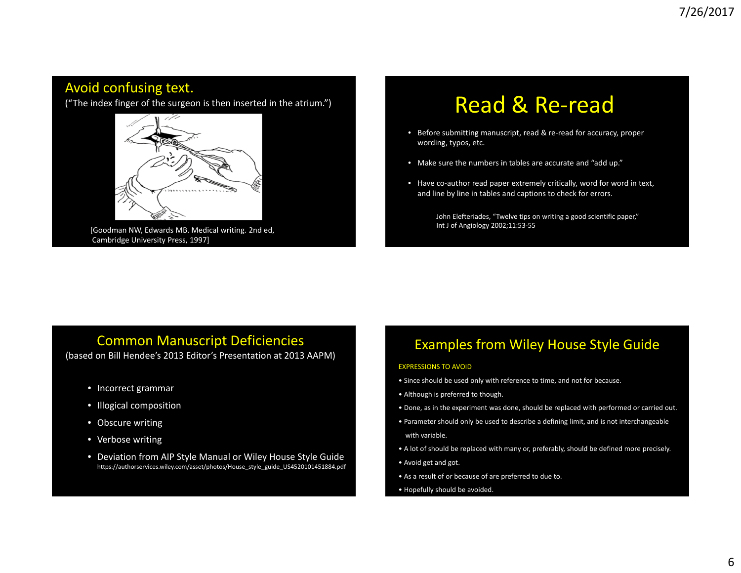#### Avoid confusing text.

("The index finger of the surgeon is then inserted in the atrium.")



[Goodman NW, Edwards MB. Medical writing. 2nd ed, Cambridge University Press, 1997]

# Read & Re‐read

- Before submitting manuscript, read & re‐read for accuracy, proper wording, typos, etc.
- Make sure the numbers in tables are accurate and "add up."
- Have co-author read paper extremely critically, word for word in text, and line by line in tables and captions to check for errors.

John Elefteriades, "Twelve tips on writing <sup>a</sup> good scientific paper," Int J of Angiology 2002;11:53‐55

#### Common Manuscript Deficiencies

(based on Bill Hendee's 2013 Editor's Presentation at 2013 AAPM)

- Incorrect grammar
- Illogical composition
- Obscure writing
- Verbose writing
- Deviation from AIP Style Manual or Wiley House Style Guide https://authorservices.wiley.com/asset/photos/House\_style\_guide\_US4520101451884.pdf

#### Examples from Wiley House Style Guide

#### EXPRESSIONS TO AVOID

- Since should be used only with reference to time, and not for because.
- Although is preferred to though.
- Done, as in the experiment was done, should be replaced with performed or carried out.
- Parameter should only be used to describe <sup>a</sup> defining limit, and is not interchangeable with variable.
- A lot of should be replaced with many or, preferably, should be defined more precisely.
- Avoid get and got.
- As <sup>a</sup> result of or because of are preferred to due to.
- Hopefully should be avoided.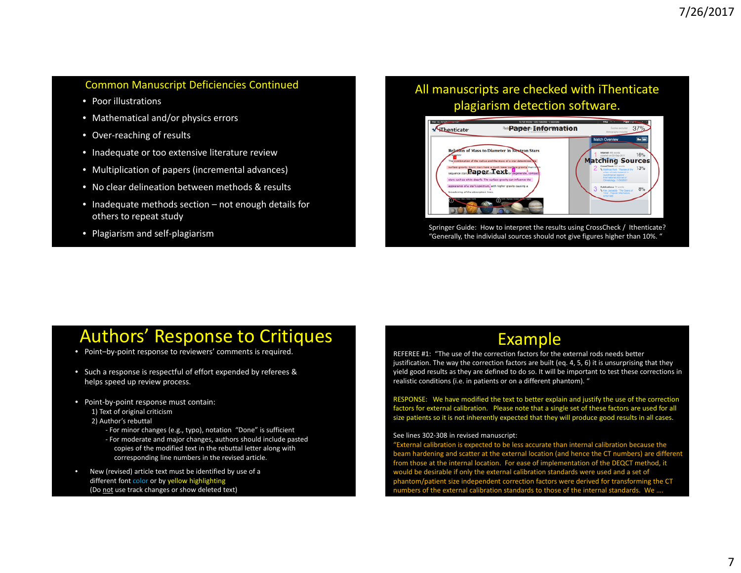#### Common Manuscript Deficiencies Continued All

- Poor illustrations
- Mathematical and/or physics errors
- Over‐reaching of results
- Inadequate or too extensive literature review
- Multiplication of papers (incremental advances)
- No clear delineation between methods & results
- Inadequate methods section not enough details for others to repeat study
- Plagiarism and self‐plagiarism

#### All manuscripts are checked with iThenticate plagiarism detection software.



Springer Guide: How to interpret the results using CrossCheck / Ithenticate? "Generally, the individual sources should not give figures higher than 10%. "

### Authors' Response to Critiques

- Point–by‐point response to reviewers' comments is required.
- Such <sup>a</sup> response is respectful of effort expended by referees & helps speed up review process.
- Point‐by‐point response must contain:
	- 1) Text of original criticism
	- 2) Author's rebuttal
		- ‐ For minor changes (e.g., typo), notation "Done" is sufficient
		- ‐ For moderate and major changes, authors should include pasted copies of the modified text in the rebuttal letter along with corresponding line numbers in the revised article.
- • New (revised) article text must be identified by use of <sup>a</sup> different font color or by yellow highlighting (Do not use track changes or show deleted text)

### Example

REFEREE #1: "The use of the correction factors for the external rods needs better justification. The way the correction factors are built (eq. 4, 5, 6) it is unsurprising that they yield good results as they are defined to do so. It will be important to test these corrections in realistic conditions (i.e. in patients or on <sup>a</sup> different phantom). "

RESPONSE: We have modified the text to better explain and justify the use of the correction factors for external calibration. Please note that <sup>a</sup> single set of these factors are used for all size patients so it is not inherently expected that they will produce good results in all cases.

#### See lines 302‐308 in revised manuscript:

"External calibration is expected to be less accurate than internal calibration because the beam hardening and scatter at the external location (and hence the CT numbers) are different from those at the internal location. For ease of implementation of the DEQCT method, it would be desirable if only the external calibration standards were used and <sup>a</sup> set of phantom/patient size independent correction factors were derived for transforming the CT numbers of the external calibration standards to those of the internal standards. We ….